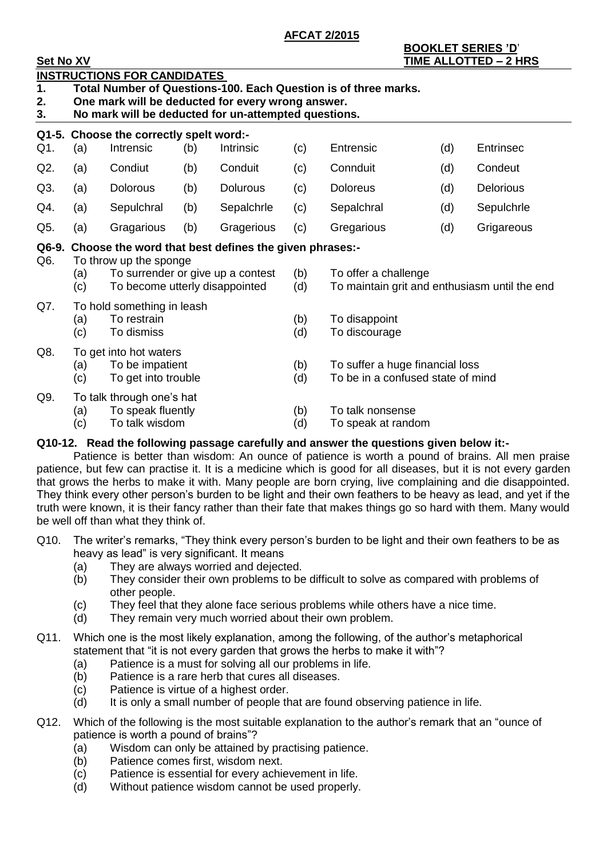**AFCAT 2/2015**

# **BOOKLET SERIES 'D**'

| <b>Set No XV</b>          |                                                                                                                                                                                                                    |                                                                  |     |            |            |                                                                       |     | TIME ALLOTTED - 2 HRS |  |  |  |  |  |
|---------------------------|--------------------------------------------------------------------------------------------------------------------------------------------------------------------------------------------------------------------|------------------------------------------------------------------|-----|------------|------------|-----------------------------------------------------------------------|-----|-----------------------|--|--|--|--|--|
| $\mathbf 1$ .<br>2.<br>3. | <b>INSTRUCTIONS FOR CANDIDATES</b><br>Total Number of Questions-100. Each Question is of three marks.<br>One mark will be deducted for every wrong answer.<br>No mark will be deducted for un-attempted questions. |                                                                  |     |            |            |                                                                       |     |                       |  |  |  |  |  |
|                           |                                                                                                                                                                                                                    | Q1-5. Choose the correctly spelt word:-                          |     |            |            |                                                                       |     |                       |  |  |  |  |  |
| Q1.                       | (a)                                                                                                                                                                                                                | Intrensic                                                        | (b) | Intrinsic  | (c)        | Entrensic                                                             | (d) | <b>Entrinsec</b>      |  |  |  |  |  |
| Q2.                       | (a)                                                                                                                                                                                                                | Condiut                                                          | (b) | Conduit    | (c)        | Connduit                                                              | (d) | Condeut               |  |  |  |  |  |
| Q3.                       | (a)                                                                                                                                                                                                                | <b>Dolorous</b>                                                  | (b) | Dolurous   | (c)        | <b>Doloreus</b>                                                       | (d) | <b>Delorious</b>      |  |  |  |  |  |
| Q4.                       | (a)                                                                                                                                                                                                                | Sepulchral                                                       | (b) | Sepalchrle | (c)        | Sepalchral                                                            | (d) | Sepulchrle            |  |  |  |  |  |
| Q5.                       | (a)                                                                                                                                                                                                                | Gragarious                                                       | (b) | Gragerious | (c)        | Gregarious                                                            | (d) | Grigareous            |  |  |  |  |  |
| Q6-9.<br>Q6.              | Choose the word that best defines the given phrases:-<br>To throw up the sponge<br>To surrender or give up a contest<br>(a)<br>To become utterly disappointed<br>(c)                                               |                                                                  |     |            |            | To offer a challenge<br>To maintain grit and enthusiasm until the end |     |                       |  |  |  |  |  |
| Q7.                       | To hold something in leash<br>To restrain<br>(a)<br>(c)<br>To dismiss                                                                                                                                              |                                                                  |     |            |            | To disappoint<br>To discourage                                        |     |                       |  |  |  |  |  |
| Q8.                       | To get into hot waters<br>To be impatient<br>(a)<br>To get into trouble<br>(c)                                                                                                                                     |                                                                  |     |            |            | To suffer a huge financial loss<br>To be in a confused state of mind  |     |                       |  |  |  |  |  |
| Q9.                       | (a)<br>(c)                                                                                                                                                                                                         | To talk through one's hat<br>To speak fluently<br>To talk wisdom |     |            | (b)<br>(d) | To talk nonsense<br>To speak at random                                |     |                       |  |  |  |  |  |
|                           |                                                                                                                                                                                                                    |                                                                  |     |            |            |                                                                       |     |                       |  |  |  |  |  |

## **Q10-12. Read the following passage carefully and answer the questions given below it:-**

Patience is better than wisdom: An ounce of patience is worth a pound of brains. All men praise patience, but few can practise it. It is a medicine which is good for all diseases, but it is not every garden that grows the herbs to make it with. Many people are born crying, live complaining and die disappointed. They think every other person's burden to be light and their own feathers to be heavy as lead, and yet if the truth were known, it is their fancy rather than their fate that makes things go so hard with them. Many would be well off than what they think of.

- Q10. The writer's remarks, "They think every person's burden to be light and their own feathers to be as heavy as lead" is very significant. It means
	- (a) They are always worried and dejected.
	- (b) They consider their own problems to be difficult to solve as compared with problems of other people.
	- (c) They feel that they alone face serious problems while others have a nice time.
	- (d) They remain very much worried about their own problem.
- Q11. Which one is the most likely explanation, among the following, of the author's metaphorical statement that "it is not every garden that grows the herbs to make it with"?
	- (a) Patience is a must for solving all our problems in life.
	- (b) Patience is a rare herb that cures all diseases.
	- (c) Patience is virtue of a highest order.
	- (d) It is only a small number of people that are found observing patience in life.
- Q12. Which of the following is the most suitable explanation to the author's remark that an "ounce of patience is worth a pound of brains"?
	- (a) Wisdom can only be attained by practising patience.
	- (b) Patience comes first, wisdom next.
	- (c) Patience is essential for every achievement in life.
	- (d) Without patience wisdom cannot be used properly.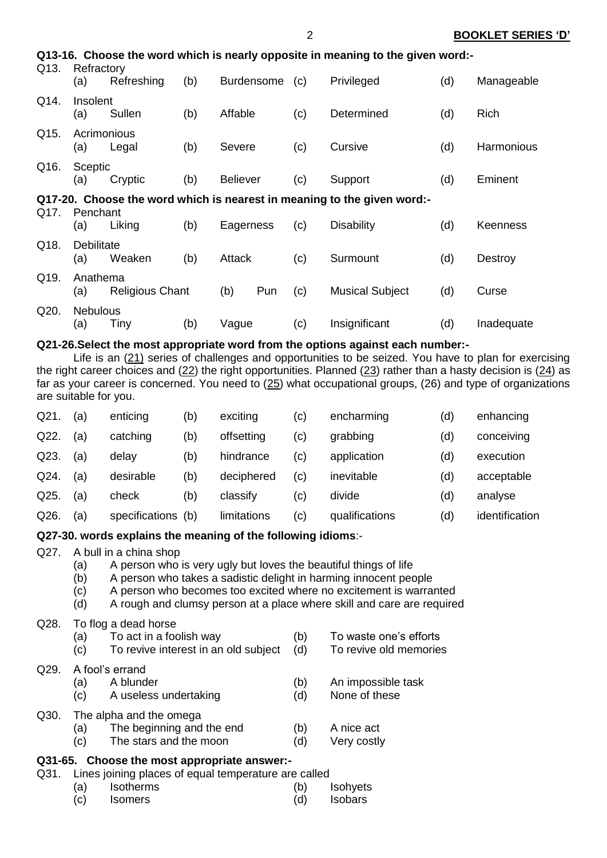| Q13-16. Choose the word which is nearly opposite in meaning to the given word:-<br>Q13.<br>Refractory |                          |                        |     |                 |                   |     |                                                                         |     |                 |  |
|-------------------------------------------------------------------------------------------------------|--------------------------|------------------------|-----|-----------------|-------------------|-----|-------------------------------------------------------------------------|-----|-----------------|--|
|                                                                                                       | (a)                      | Refreshing             | (b) |                 | <b>Burdensome</b> | (c) | Privileged                                                              | (d) | Manageable      |  |
| Q14.                                                                                                  | Insolent<br>(a)          | Sullen                 | (b) | Affable         |                   | (c) | Determined                                                              | (d) | Rich            |  |
| Q15.                                                                                                  | Acrimonious<br>(a)       | Legal                  | (b) | Severe          |                   | (c) | Cursive                                                                 | (d) | Harmonious      |  |
| Q16.                                                                                                  | Sceptic<br>(a)           | Cryptic                | (b) | <b>Believer</b> |                   | (c) | Support                                                                 | (d) | Eminent         |  |
| Q17.                                                                                                  | Penchant                 |                        |     |                 |                   |     | Q17-20. Choose the word which is nearest in meaning to the given word:- |     |                 |  |
|                                                                                                       | (a)                      | Liking                 | (b) | Eagerness       |                   | (c) | <b>Disability</b>                                                       | (d) | <b>Keenness</b> |  |
| Q18.                                                                                                  | <b>Debilitate</b><br>(a) | Weaken                 | (b) | Attack          |                   | (c) | Surmount                                                                | (d) | Destroy         |  |
| Q19.                                                                                                  | Anathema<br>(a)          | <b>Religious Chant</b> |     | (b)             | Pun               | (c) | <b>Musical Subject</b>                                                  | (d) | Curse           |  |
| Q20.                                                                                                  | <b>Nebulous</b><br>(a)   | Tiny                   | (b) | Vague           |                   | (c) | Insignificant                                                           | (d) | Inadequate      |  |

2 **BOOKLET SERIES 'D'**

## **Q21-26.Select the most appropriate word from the options against each number:-**

Life is an (21) series of challenges and opportunities to be seized. You have to plan for exercising the right career choices and (22) the right opportunities. Planned (23) rather than a hasty decision is (24) as far as your career is concerned. You need to (25) what occupational groups, (26) and type of organizations are suitable for you.

| $Q21$ . | (a) | enticing       | (b) | exciting    | (c)                        | encharming     | (d) | enhancing      |
|---------|-----|----------------|-----|-------------|----------------------------|----------------|-----|----------------|
| Q22.    | (a) | catching       | (b) | offsetting  | (c)                        | grabbing       | (d) | conceiving     |
| Q23.    | (a) | delay          | (b) | hindrance   | (c)                        | application    | (d) | execution      |
| Q24.    | (a) | desirable      | (b) | deciphered  | (c)                        | inevitable     | (d) | acceptable     |
| Q25.    | (a) | check          | (b) | classify    | $\left( \mathrm{c}\right)$ | divide         | (d) | analyse        |
| Q26.    | (a) | specifications | (b) | limitations | (c)                        | qualifications | (d) | identification |

## **Q27-30. words explains the meaning of the following idioms**:-

## Q27. A bull in a china shop

- (a) A person who is very ugly but loves the beautiful things of life
- (b) A person who takes a sadistic delight in harming innocent people
- (c) A person who becomes too excited where no excitement is warranted
- (d) A rough and clumsy person at a place where skill and care are required

## Q28. To flog a dead horse

|         | (a)<br>(c) | To act in a foolish way<br>To revive interest in an old subject                | (b)<br>(d) | To waste one's efforts<br>To revive old memories |
|---------|------------|--------------------------------------------------------------------------------|------------|--------------------------------------------------|
| Q29.    | (a)<br>(c) | A fool's errand<br>A blunder<br>A useless undertaking                          | (b)<br>(d) | An impossible task<br>None of these              |
| Q30.    | (a)<br>(c) | The alpha and the omega<br>The beginning and the end<br>The stars and the moon | (b)<br>(d) | A nice act<br>Very costly                        |
| Q31-65. |            | Choose the most appropriate answer:-                                           |            |                                                  |

- Q31. Lines joining places of equal temperature are called
	- (a) Isotherms (b) Isohyets (c) Isomers (d) Isobars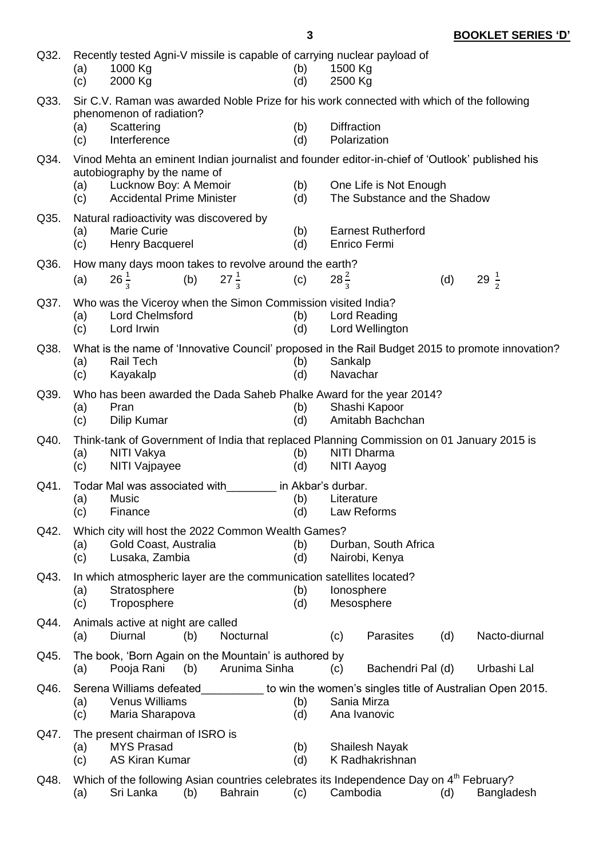| Q32. | (a)<br>(c)                                                                                                                                                              | Recently tested Agni-V missile is capable of carrying nuclear payload of<br>1000 Kg<br>1500 Kg<br>(b)<br>(d)<br>2000 Kg<br>2500 Kg                                         |     |                 |  |                    |                 |                                           |     |  |                                                           |
|------|-------------------------------------------------------------------------------------------------------------------------------------------------------------------------|----------------------------------------------------------------------------------------------------------------------------------------------------------------------------|-----|-----------------|--|--------------------|-----------------|-------------------------------------------|-----|--|-----------------------------------------------------------|
| Q33. | Sir C.V. Raman was awarded Noble Prize for his work connected with which of the following<br>phenomenon of radiation?<br>(b)<br><b>Diffraction</b><br>Scattering<br>(a) |                                                                                                                                                                            |     |                 |  |                    |                 |                                           |     |  |                                                           |
|      | (c)                                                                                                                                                                     | Interference                                                                                                                                                               |     |                 |  | (d)                |                 | Polarization                              |     |  |                                                           |
| Q34. |                                                                                                                                                                         | Vinod Mehta an eminent Indian journalist and founder editor-in-chief of 'Outlook' published his                                                                            |     |                 |  |                    |                 |                                           |     |  |                                                           |
|      | (a)<br>(c)                                                                                                                                                              | autobiography by the name of<br>Lucknow Boy: A Memoir<br>(b)<br>One Life is Not Enough<br><b>Accidental Prime Minister</b><br>The Substance and the Shadow<br>(d)          |     |                 |  |                    |                 |                                           |     |  |                                                           |
| Q35. | (a)<br>(c)                                                                                                                                                              | Natural radioactivity was discovered by<br><b>Marie Curie</b><br>Henry Bacquerel                                                                                           |     |                 |  | (b)<br>(d)         |                 | <b>Earnest Rutherford</b><br>Enrico Fermi |     |  |                                                           |
| Q36. |                                                                                                                                                                         | How many days moon takes to revolve around the earth?                                                                                                                      |     |                 |  |                    |                 |                                           |     |  |                                                           |
|      | (a)                                                                                                                                                                     | $26\frac{1}{3}$                                                                                                                                                            | (b) | $27\frac{1}{3}$ |  | (c)                | $28\frac{2}{3}$ |                                           | (d) |  | 29 $\frac{1}{2}$                                          |
| Q37. | (a)<br>(c)                                                                                                                                                              | Who was the Viceroy when the Simon Commission visited India?<br><b>Lord Chelmsford</b><br>Lord Irwin                                                                       |     |                 |  | (b)<br>(d)         |                 | <b>Lord Reading</b><br>Lord Wellington    |     |  |                                                           |
| Q38. | (a)<br>(c)                                                                                                                                                              | What is the name of 'Innovative Council' proposed in the Rail Budget 2015 to promote innovation?<br><b>Rail Tech</b><br>(b)<br>Sankalp<br>(d)<br>Kayakalp<br>Navachar      |     |                 |  |                    |                 |                                           |     |  |                                                           |
| Q39. | (a)<br>(c)                                                                                                                                                              | Who has been awarded the Dada Saheb Phalke Award for the year 2014?<br>Pran<br><b>Dilip Kumar</b>                                                                          |     |                 |  | (b)<br>(d)         |                 | Shashi Kapoor<br>Amitabh Bachchan         |     |  |                                                           |
| Q40. | (a)<br>(c)                                                                                                                                                              | Think-tank of Government of India that replaced Planning Commission on 01 January 2015 is<br>NITI Vakya<br><b>NITI Dharma</b><br>(b)<br>(d)<br>NITI Vajpayee<br>NITI Aayog |     |                 |  |                    |                 |                                           |     |  |                                                           |
| Q41. |                                                                                                                                                                         | Todar Mal was associated with                                                                                                                                              |     |                 |  | in Akbar's durbar. |                 |                                           |     |  |                                                           |
|      | (a)<br>(c)                                                                                                                                                              | Music<br>Finance                                                                                                                                                           |     |                 |  | (b)<br>(d)         | Literature      | Law Reforms                               |     |  |                                                           |
| Q42. | (a)<br>(c)                                                                                                                                                              | Which city will host the 2022 Common Wealth Games?<br>Gold Coast, Australia<br>Lusaka, Zambia                                                                              |     |                 |  | (b)<br>(d)         |                 | Durban, South Africa<br>Nairobi, Kenya    |     |  |                                                           |
| Q43. | (a)<br>(c)                                                                                                                                                              | In which atmospheric layer are the communication satellites located?<br>Stratosphere<br>Troposphere                                                                        |     |                 |  | (b)<br>(d)         |                 | lonosphere<br>Mesosphere                  |     |  |                                                           |
| Q44. | (a)                                                                                                                                                                     | Animals active at night are called<br>Diurnal                                                                                                                              | (b) | Nocturnal       |  |                    | (c)             | Parasites                                 | (d) |  | Nacto-diurnal                                             |
| Q45. | (a)                                                                                                                                                                     | The book, 'Born Again on the Mountain' is authored by<br>Pooja Rani                                                                                                        | (b) | Arunima Sinha   |  |                    | (c)             | Bachendri Pal (d)                         |     |  | Urbashi Lal                                               |
| Q46. | (a)<br>(c)                                                                                                                                                              | Serena Williams defeated<br><b>Venus Williams</b><br>Maria Sharapova                                                                                                       |     |                 |  | (b)<br>(d)         |                 | Sania Mirza<br>Ana Ivanovic               |     |  | to win the women's singles title of Australian Open 2015. |
| Q47. | (a)<br>(c)                                                                                                                                                              | The present chairman of ISRO is<br><b>MYS Prasad</b><br><b>AS Kiran Kumar</b>                                                                                              |     |                 |  | (b)<br>(d)         |                 | <b>Shailesh Nayak</b><br>K Radhakrishnan  |     |  |                                                           |
| Q48. |                                                                                                                                                                         | Which of the following Asian countries celebrates its Independence Day on 4 <sup>th</sup> February?                                                                        |     |                 |  |                    |                 |                                           |     |  |                                                           |

| (a) | .Sri Lanka | (b) | <b>Bahrain</b> | (C) | Cambodia | Bangladesh |
|-----|------------|-----|----------------|-----|----------|------------|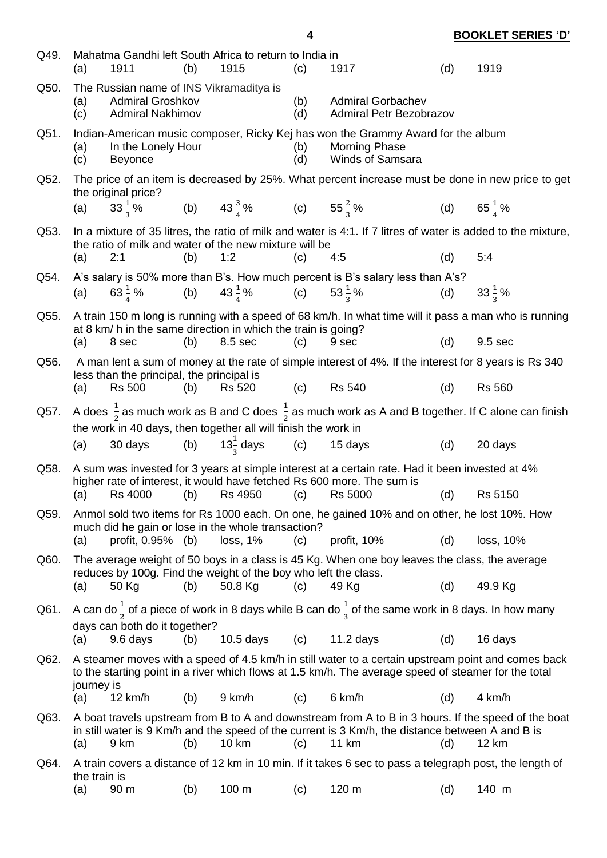| Q49. | (a)          | 1911                                                                                          | (b) | Mahatma Gandhi left South Africa to return to India in<br>1915           | (c)        | 1917                                                                                                                                                                                                             | (d) | 1919                  |
|------|--------------|-----------------------------------------------------------------------------------------------|-----|--------------------------------------------------------------------------|------------|------------------------------------------------------------------------------------------------------------------------------------------------------------------------------------------------------------------|-----|-----------------------|
| Q50. | (a)<br>(c)   | The Russian name of INS Vikramaditya is<br><b>Admiral Groshkov</b><br><b>Admiral Nakhimov</b> |     |                                                                          | (b)<br>(d) | <b>Admiral Gorbachev</b><br><b>Admiral Petr Bezobrazov</b>                                                                                                                                                       |     |                       |
| Q51. | (a)<br>(c)   | In the Lonely Hour<br><b>Beyonce</b>                                                          |     |                                                                          | (b)<br>(d) | Indian-American music composer, Ricky Kej has won the Grammy Award for the album<br><b>Morning Phase</b><br>Winds of Samsara                                                                                     |     |                       |
| Q52. |              | the original price?                                                                           |     |                                                                          |            | The price of an item is decreased by 25%. What percent increase must be done in new price to get                                                                                                                 |     |                       |
|      | (a)          | $33\frac{1}{3}\%$                                                                             |     | (b) $43\frac{3}{4}\%$ (c) $55\frac{2}{3}\%$                              |            |                                                                                                                                                                                                                  |     | (d) $65\frac{1}{4}\%$ |
| Q53. |              |                                                                                               |     | the ratio of milk and water of the new mixture will be                   |            | In a mixture of 35 litres, the ratio of milk and water is 4:1. If 7 litres of water is added to the mixture,                                                                                                     |     | 5:4                   |
|      | (a)          | 2:1                                                                                           | (b) | 1:2                                                                      | (c)        | 4:5                                                                                                                                                                                                              | (d) |                       |
| Q54. | (a)          |                                                                                               |     | 63 $\frac{1}{4}$ % (b) 43 $\frac{1}{4}$ % (c) 53 $\frac{1}{2}$ %         |            | A's salary is 50% more than B's. How much percent is B's salary less than A's?                                                                                                                                   |     | (d) $33\frac{1}{2}\%$ |
| Q55. |              |                                                                                               |     |                                                                          |            | A train 150 m long is running with a speed of 68 km/h. In what time will it pass a man who is running                                                                                                            |     |                       |
|      | (a)          | 8 sec                                                                                         | (b) | at 8 km/ h in the same direction in which the train is going?<br>8.5 sec | (c)        | 9 sec                                                                                                                                                                                                            | (d) | 9.5 sec               |
| Q56. |              |                                                                                               |     |                                                                          |            | A man lent a sum of money at the rate of simple interest of 4%. If the interest for 8 years is Rs 340                                                                                                            |     |                       |
|      | (a)          | less than the principal, the principal is<br><b>Rs 500</b>                                    | (b) | <b>Rs 520</b>                                                            | (c)        | <b>Rs 540</b>                                                                                                                                                                                                    | (d) | <b>Rs 560</b>         |
| Q57. |              |                                                                                               |     | the work in 40 days, then together all will finish the work in           |            | A does $\frac{1}{2}$ as much work as B and C does $\frac{1}{2}$ as much work as A and B together. If C alone can finish                                                                                          |     |                       |
|      | (a)          |                                                                                               |     | 30 days (b) $13\frac{1}{2}$ days (c) 15 days                             |            |                                                                                                                                                                                                                  | (d) | 20 days               |
| Q58. |              |                                                                                               |     |                                                                          |            | A sum was invested for 3 years at simple interest at a certain rate. Had it been invested at 4%<br>higher rate of interest, it would have fetched Rs 600 more. The sum is                                        |     |                       |
|      | (a)          | <b>Rs 4000</b>                                                                                | (b) | Rs 4950                                                                  | (c)        | <b>Rs 5000</b>                                                                                                                                                                                                   | (d) | Rs 5150               |
| Q59. |              |                                                                                               |     | much did he gain or lose in the whole transaction?                       |            | Anmol sold two items for Rs 1000 each. On one, he gained 10% and on other, he lost 10%. How                                                                                                                      |     |                       |
|      | (a)          | profit, 0.95% (b)                                                                             |     | loss, 1%                                                                 | (c)        | profit, 10%                                                                                                                                                                                                      | (d) | loss, 10%             |
| Q60. |              |                                                                                               |     | reduces by 100g. Find the weight of the boy who left the class.          |            | The average weight of 50 boys in a class is 45 Kg. When one boy leaves the class, the average                                                                                                                    |     |                       |
|      | (a)          | 50 Kg                                                                                         | (b) | 50.8 Kg                                                                  | (c)        | 49 Kg                                                                                                                                                                                                            | (d) | 49.9 Kg               |
| Q61. |              | days can both do it together?                                                                 |     |                                                                          |            | A can do $\frac{1}{2}$ of a piece of work in 8 days while B can do $\frac{1}{3}$ of the same work in 8 days. In how many                                                                                         |     |                       |
|      | (a)          | 9.6 days                                                                                      | (b) | $10.5$ days                                                              | (c)        | $11.2$ days                                                                                                                                                                                                      | (d) | 16 days               |
| Q62. | journey is   |                                                                                               |     |                                                                          |            | A steamer moves with a speed of 4.5 km/h in still water to a certain upstream point and comes back<br>to the starting point in a river which flows at 1.5 km/h. The average speed of steamer for the total       |     |                       |
|      | (a)          | 12 km/h                                                                                       | (b) | 9 km/h                                                                   | (c)        | 6 km/h                                                                                                                                                                                                           | (d) | 4 km/h                |
| Q63. | (a)          | 9 km                                                                                          | (b) | 10 km                                                                    | (c)        | A boat travels upstream from B to A and downstream from A to B in 3 hours. If the speed of the boat<br>in still water is 9 Km/h and the speed of the current is 3 Km/h, the distance between A and B is<br>11 km | (d) | 12 km                 |
| Q64. | the train is |                                                                                               |     |                                                                          |            | A train covers a distance of 12 km in 10 min. If it takes 6 sec to pass a telegraph post, the length of                                                                                                          |     |                       |
|      | (a)          | 90 m                                                                                          | (b) | 100 m                                                                    | (c)        | 120 m                                                                                                                                                                                                            | (d) | 140 m                 |

**4 BOOKLET SERIES 'D'**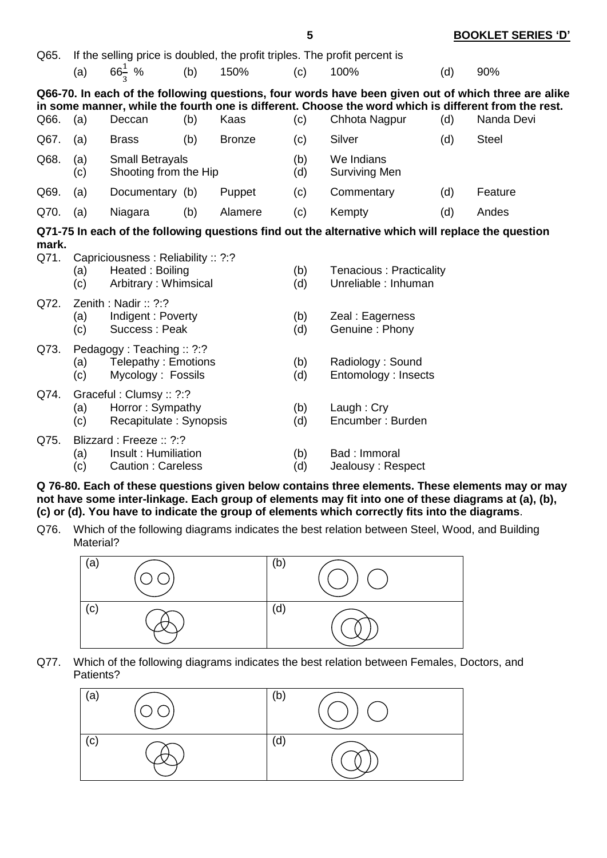| Q65.  |                                                                                     |                                                                             |     |               |            | If the selling price is doubled, the profit triples. The profit percent is                                                                                                                                                   |     |              |
|-------|-------------------------------------------------------------------------------------|-----------------------------------------------------------------------------|-----|---------------|------------|------------------------------------------------------------------------------------------------------------------------------------------------------------------------------------------------------------------------------|-----|--------------|
|       | (a)                                                                                 | $66\frac{1}{3}$ %                                                           | (b) | 150%          | (c)        | 100%                                                                                                                                                                                                                         | (d) | 90%          |
| Q66.  | (a)                                                                                 | Deccan                                                                      | (b) | Kaas          | (c)        | Q66-70. In each of the following questions, four words have been given out of which three are alike<br>in some manner, while the fourth one is different. Choose the word which is different from the rest.<br>Chhota Nagpur | (d) | Nanda Devi   |
| Q67.  | (a)                                                                                 | <b>Brass</b>                                                                | (b) | <b>Bronze</b> | (c)        | Silver                                                                                                                                                                                                                       | (d) | <b>Steel</b> |
| Q68.  | (a)<br>(c)                                                                          | <b>Small Betrayals</b><br>Shooting from the Hip                             |     |               | (b)<br>(d) | We Indians<br><b>Surviving Men</b>                                                                                                                                                                                           |     |              |
| Q69.  | (a)                                                                                 | Documentary (b)                                                             |     | Puppet        | (c)        | Commentary                                                                                                                                                                                                                   | (d) | Feature      |
| Q70.  | (a)                                                                                 | Niagara                                                                     | (b) | Alamere       | (c)        | Kempty                                                                                                                                                                                                                       | (d) | Andes        |
| mark. |                                                                                     |                                                                             |     |               |            | Q71-75 In each of the following questions find out the alternative which will replace the question                                                                                                                           |     |              |
| Q71.  | (a)<br>(c)                                                                          | Capriciousness: Reliability: ?:?<br>Heated: Boiling<br>Arbitrary: Whimsical |     |               | (b)<br>(d) | Tenacious: Practicality<br>Unreliable: Inhuman                                                                                                                                                                               |     |              |
| Q72.  | (a)<br>(c)                                                                          | Zenith: Nadir: $?$ :?<br>Indigent: Poverty<br>Success: Peak                 |     |               | (b)<br>(d) | Zeal : Eagerness<br>Genuine: Phony                                                                                                                                                                                           |     |              |
| Q73.  | Pedagogy: Teaching: ?:?<br>Telepathy: Emotions<br>(a)<br>Mycology: Fossils<br>(c)   |                                                                             |     |               | (b)<br>(d) | Radiology: Sound<br>Entomology: Insects                                                                                                                                                                                      |     |              |
| Q74.  | Graceful: Clumsy: : ?:?<br>Horror: Sympathy<br>(a)<br>Recapitulate: Synopsis<br>(c) |                                                                             |     |               | (b)<br>(d) | Laugh: $Cry$<br>Encumber: Burden                                                                                                                                                                                             |     |              |
| Q75.  | (a)<br>(c)                                                                          | Blizzard: Freeze: ?:?<br>Insult: Humiliation<br>Caution: Careless           |     |               | (b)<br>(d) | Bad: Immoral<br>Jealousy: Respect                                                                                                                                                                                            |     |              |

**Q 76-80. Each of these questions given below contains three elements. These elements may or may not have some inter-linkage. Each group of elements may fit into one of these diagrams at (a), (b), (c) or (d). You have to indicate the group of elements which correctly fits into the diagrams**.

Q76. Which of the following diagrams indicates the best relation between Steel, Wood, and Building Material?



Q77. Which of the following diagrams indicates the best relation between Females, Doctors, and Patients?



#### **5 BOOKLET SERIES 'D'**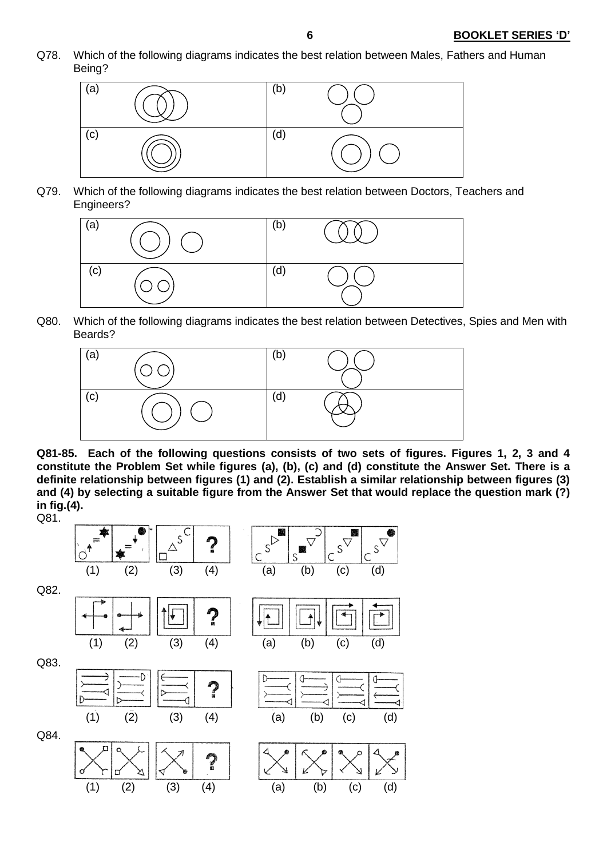Q78. Which of the following diagrams indicates the best relation between Males, Fathers and Human Being?



Q79. Which of the following diagrams indicates the best relation between Doctors, Teachers and Engineers?



Q80. Which of the following diagrams indicates the best relation between Detectives, Spies and Men with Beards?



**Q81-85. Each of the following questions consists of two sets of figures. Figures 1, 2, 3 and 4 constitute the Problem Set while figures (a), (b), (c) and (d) constitute the Answer Set. There is a definite relationship between figures (1) and (2). Establish a similar relationship between figures (3) and (4) by selecting a suitable figure from the Answer Set that would replace the question mark (?) in fig.(4).**

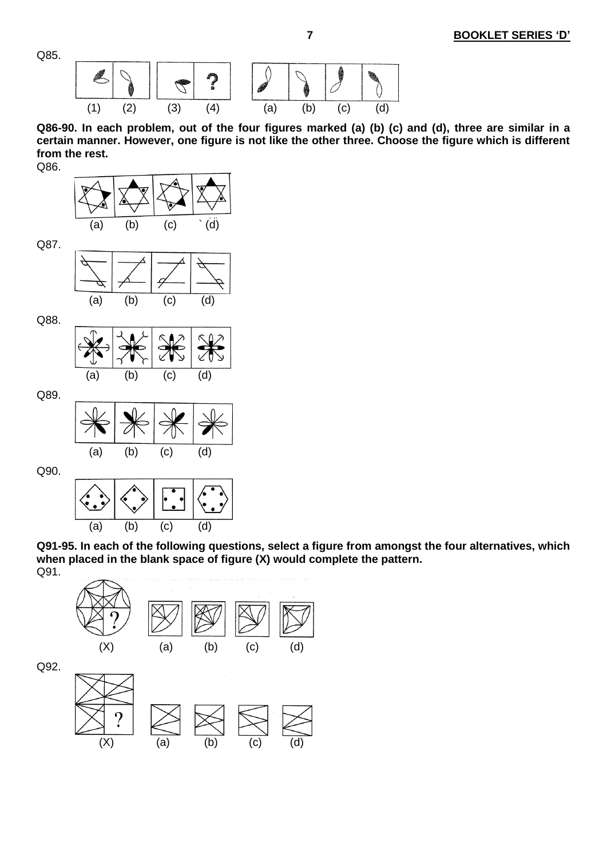Q85.



**Q86-90. In each problem, out of the four figures marked (a) (b) (c) and (d), three are similar in a certain manner. However, one figure is not like the other three. Choose the figure which is different from the rest.** Q86.

 $\mathbf{r}$  (a) (b) (c) ` (d) Q87. (a) (b) (c) (d)

Q88.



Q89.



Q90.



**Q91-95. In each of the following questions, select a figure from amongst the four alternatives, which when placed in the blank space of figure (X) would complete the pattern.**